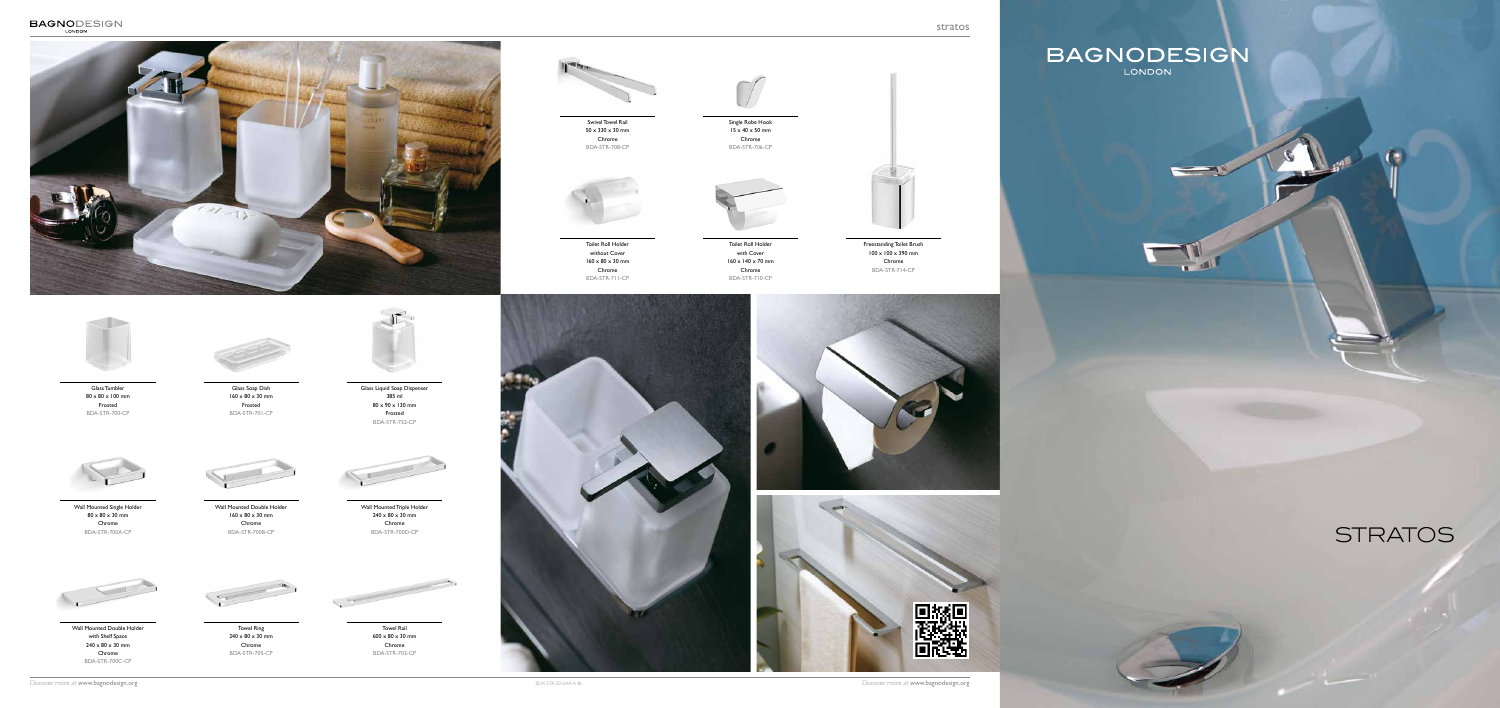stratos

## BAGNODESIGN

 $\qquad \qquad$ 

Single Robe Hook  $15 \times 40 \times 50 \text{ mm}$ Chrome BDA-STR-706-CP





Glass Tumbler 80 x 80 x 100 mm Frosted BDA-STR-700-CP



Glass Soap Dish  $160 \times 80 \times 30$  mm Frosted BDA-STR-701-CP



Glass Liquid Soap Dispenser 385 ml 80 x 90 x 130 mm Frosted BDA-STR-732-CP



Wall Mounted Single Holder  $80 \times 80 \times 30$  mm Chrome BDA-STR-700A-CP



Wall Mounted Double Holder  $160 \times 80 \times 30$  mm Chrome BDA-STR-700B-CP



Wall Mounted Double Holder with Shelf Space  $240 \times 80 \times 30$  mm Chrome BDA-STR-700C-CP



Wall Mounted Triple Holder  $240 \times 80 \times 30$  mm Chrome BDA-STR-700D-CP



Toilet Roll Holder without Cover  $160 \times 80 \times 30$  mm Chrome BDA-STR-711-CP



Toilet Roll Holder with Cover 160 x 140 x 70 mm Chrome BDA-STR-710-CP



Towel Ring  $240 \times 80 \times 30$  mm Chrome BDA-STR-705-CP



Towel Rail  $600 \times 80 \times 30$  mm Chrome BDA-STR-703-CP



![](_page_0_Picture_1.jpeg)

![](_page_0_Picture_2.jpeg)

Swivel Towel Rail 50 x 330 x 30 mm Chrome BDA-STR-708-CP

Freestanding Toilet Brush  $100 \times 100 \times 390$  mm Chrome BDA-STR-714-CP

## **STRATOS**